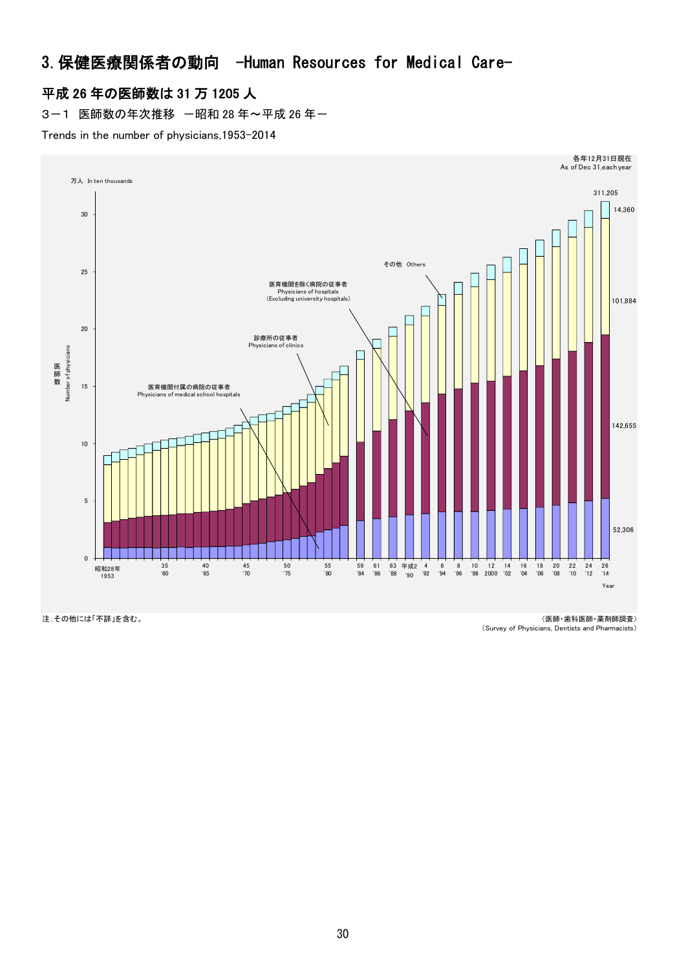# 3.保健医療関係者の動向 -Human Resources for Medical Care-

### 平成 26 年の医師数は 31 万 1205 人

3-1 医師数の年次推移 一昭和 28 年~平成 26 年一

Trends in the number of physicians,1953-2014



注:その他には「不詳」を含む。

(医師・歯科医師・薬剤師調査) (Survey of Physicians, Dentists and Pharmacists)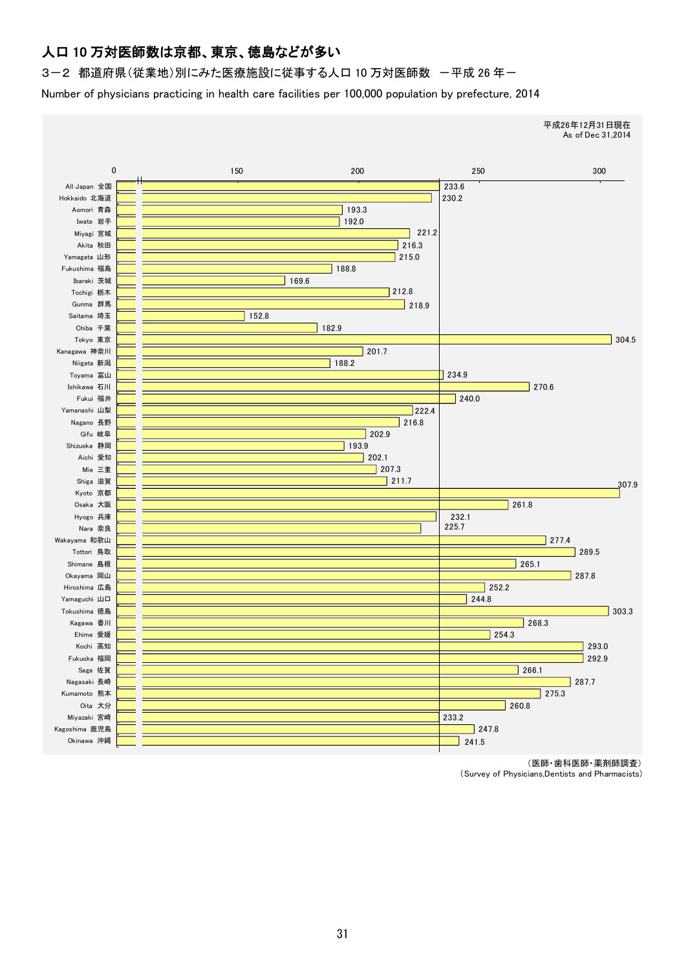#### 人口 10 万対医師数は京都、東京、徳島などが多い

3-2 都道府県(従業地)別にみた医療施設に従事する人口 10 万対医師数 一平成 26 年一

Number of physicians practicing in health care facilities per 100,000 population by prefecture, 2014



(医師・歯科医師・薬剤師調査) (Survey of Physicians,Dentists and Pharmacists)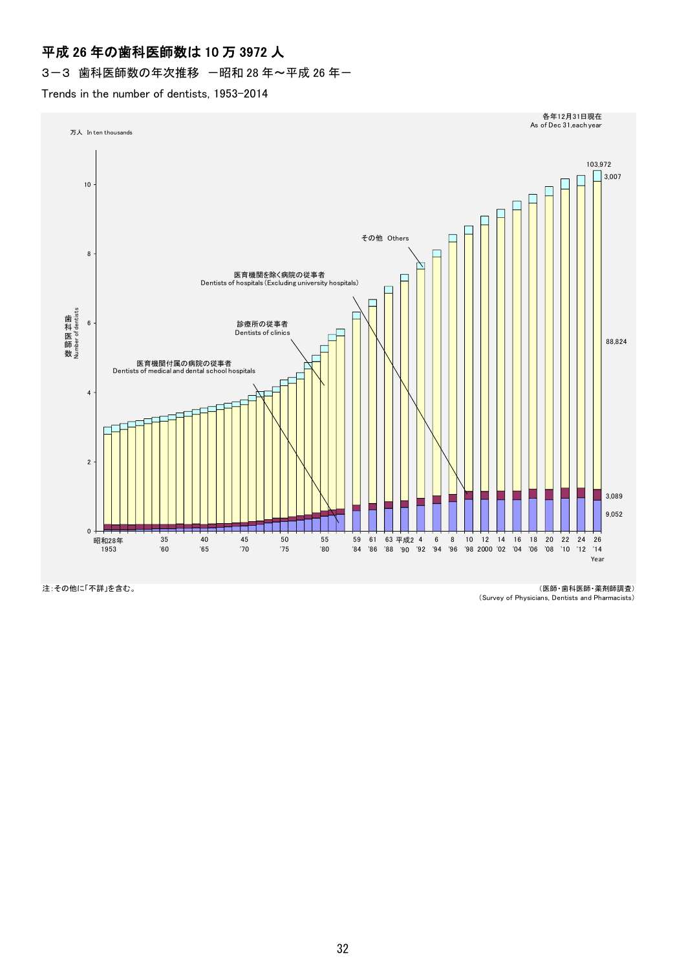### 平成 26 年の歯科医師数は 10 万 3972 人

#### 3-3 歯科医師数の年次推移 一昭和 28 年~平成 26 年一

Trends in the number of dentists, 1953-2014



注:その他に「不詳」を含む。

(医師・歯科医師・薬剤師調査) (Survey of Physicians, Dentists and Pharmacists)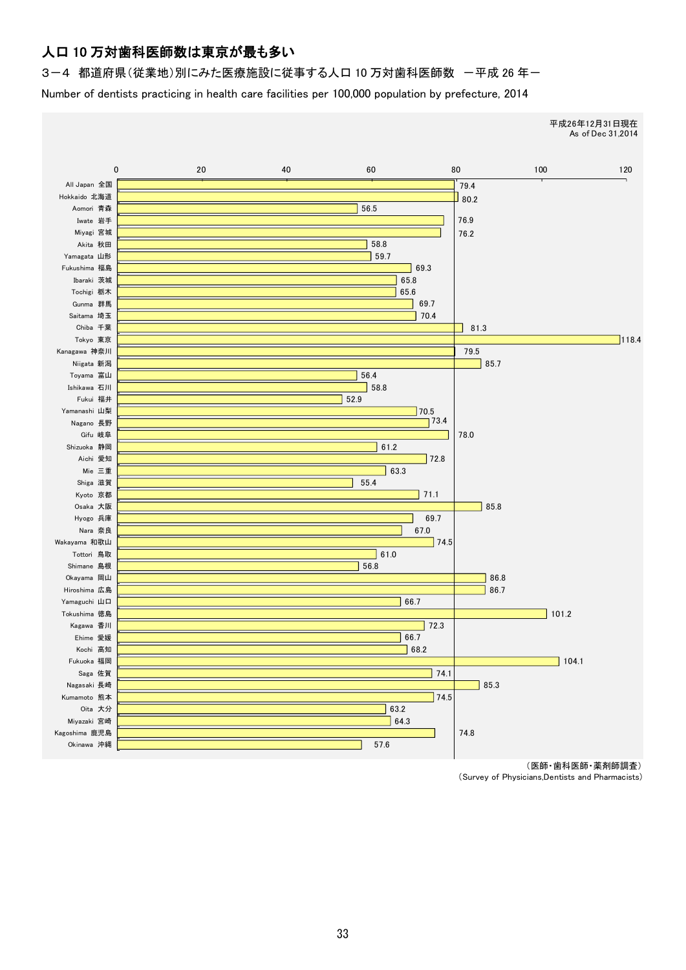#### 人口 10 万対歯科医師数は東京が最も多い

3-4 都道府県(従業地)別にみた医療施設に従事する人口 10 万対歯科医師数 一平成 26 年一

Number of dentists practicing in health care facilities per 100,000 population by prefecture, 2014



(医師・歯科医師・薬剤師調査) (Survey of Physicians,Dentists and Pharmacists)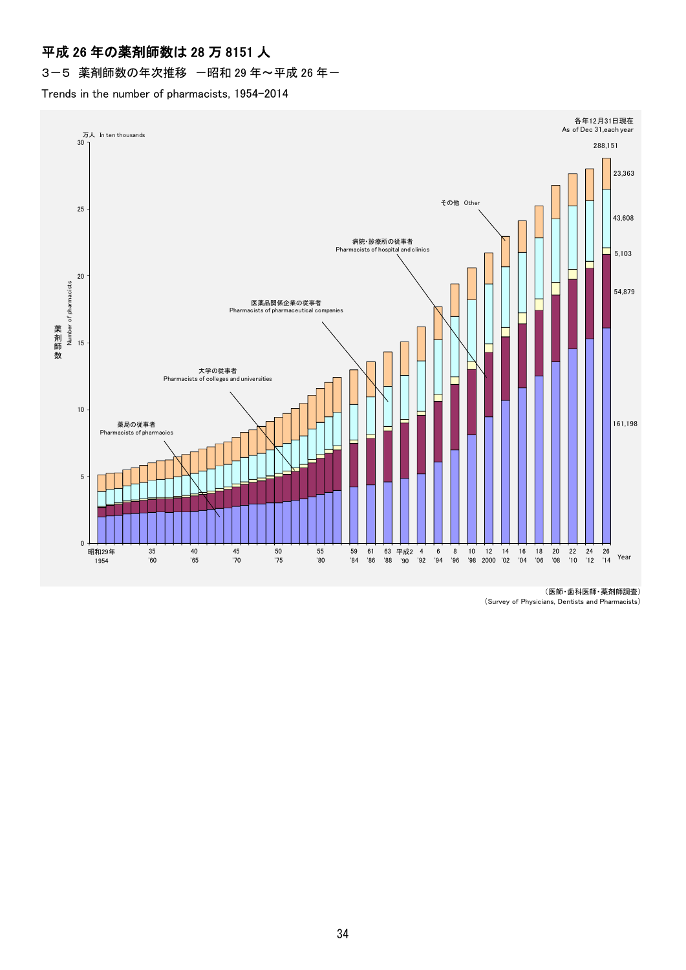### 平成 26 年の薬剤師数は 28 万 8151 人

## 3-5 薬剤師数の年次推移 一昭和 29 年~平成 26 年一

Trends in the number of pharmacists, 1954-2014



(医師・歯科医師・薬剤師調査) (Survey of Physicians, Dentists and Pharmacists)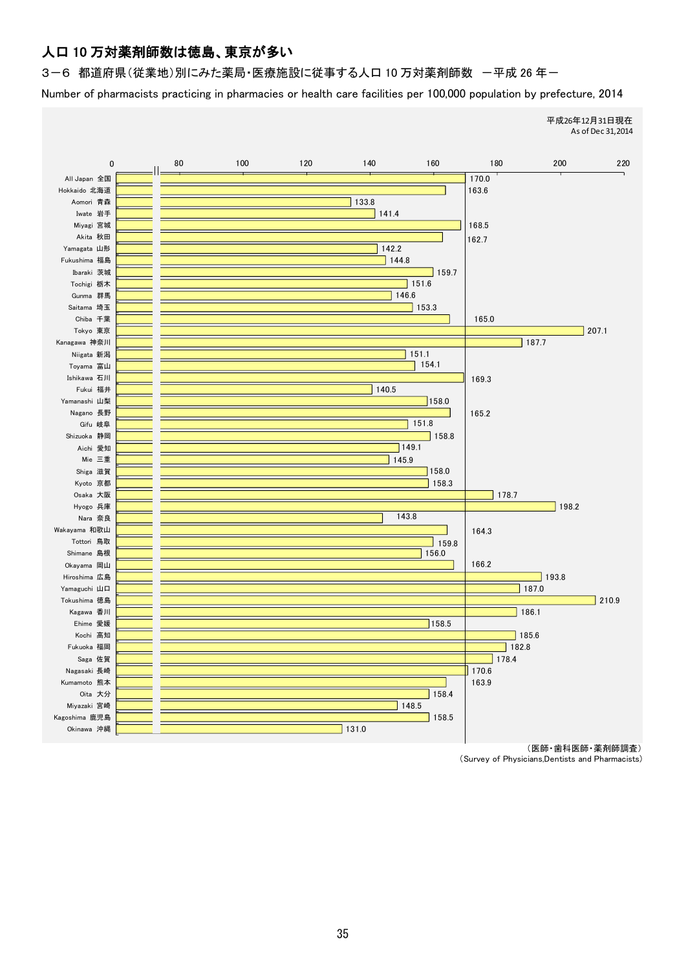#### 人口 10 万対薬剤師数は徳島、東京が多い

3-6 都道府県(従業地)別にみた薬局・医療施設に従事する人口 10 万対薬剤師数 一平成 26 年ー

Number of pharmacists practicing in pharmacies or health care facilities per 100,000 population by prefecture, 2014



(医師・歯科医師・薬剤師調査) (Survey of Physicians,Dentists and Pharmacists)

平成26年12月31日現在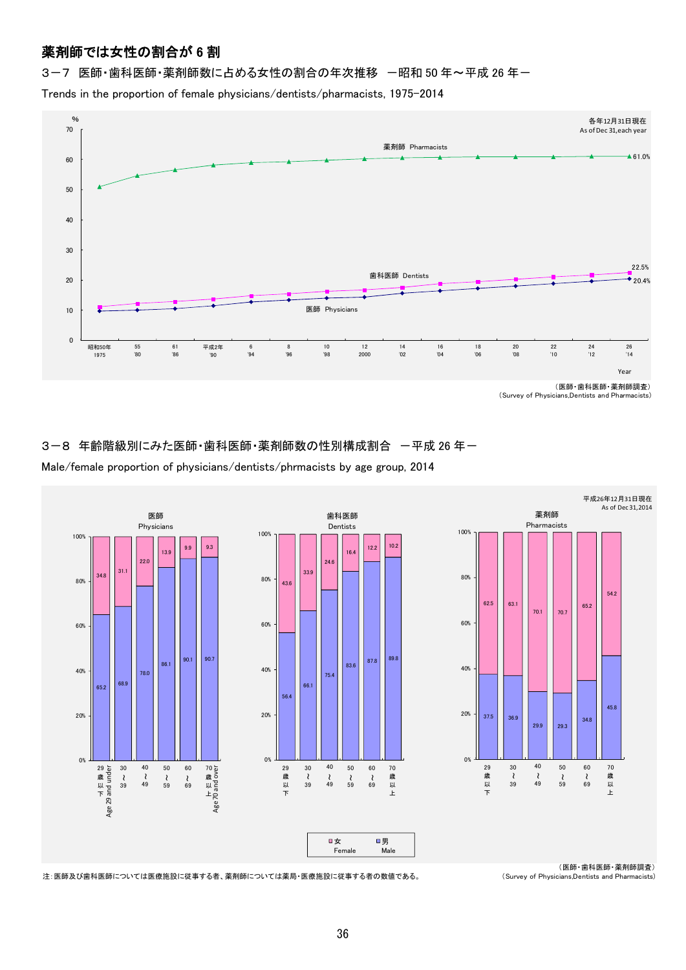#### 薬剤師では女性の割合が 6 割

3-7 医師・歯科医師・薬剤師数に占める女性の割合の年次推移 -昭和 50年~平成 26年-

Trends in the proportion of female physicians/dentists/pharmacists, 1975-2014



### 3-8 年齢階級別にみた医師・歯科医師・薬剤師数の性別構成割合 -平成 26 年ー

Male/female proportion of physicians/dentists/phrmacists by age group, 2014



注: 医師及び歯科医師については医療施設に従事する者、薬剤師については薬局・医療施設に従事する者の数値である。

(医師・歯科医師・薬剤師調査)<br>(Survey of Physicians,Dentists and Pharmacists)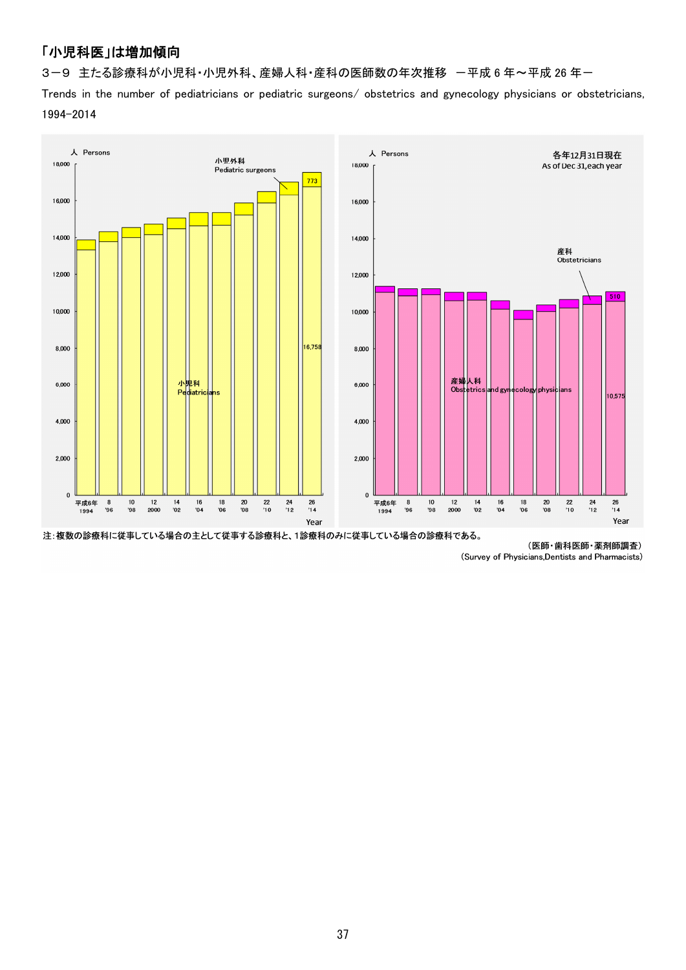### 「小児科医」は増加傾向

3-9 主たる診療科が小児科・小児外科、産婦人科・産科の医師数の年次推移 一平成 6 年~平成 26 年一

Trends in the number of pediatricians or pediatric surgeons/ obstetrics and gynecology physicians or obstetricians, 1994-2014



(医師·歯科医師·薬剤師調査)

(Survey of Physicians, Dentists and Pharmacists)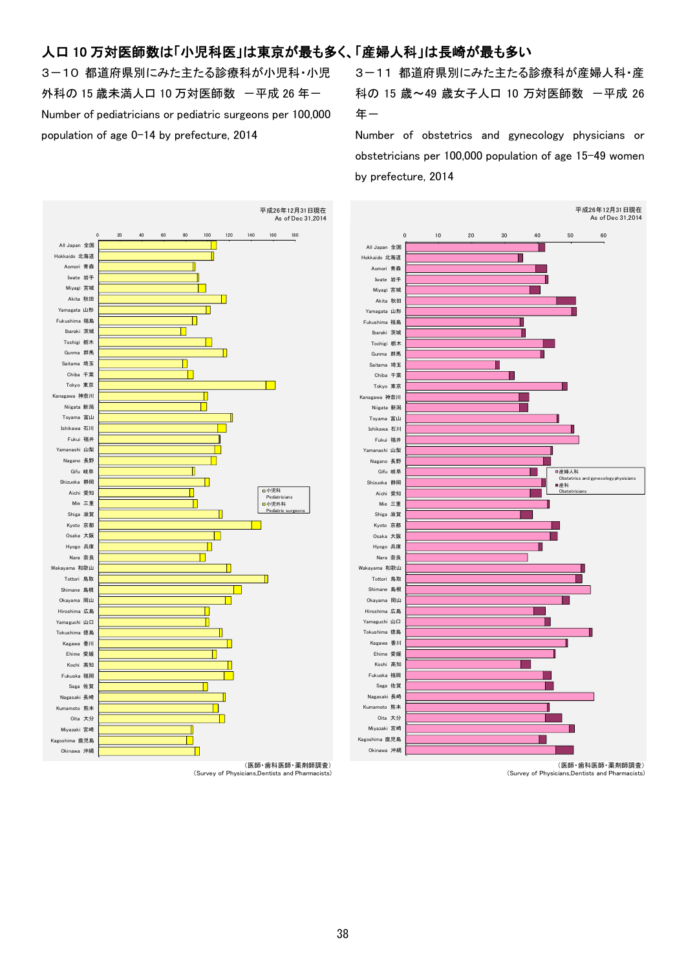### 人口 10 万対医師数は「小児科医」は東京が最も多く、「産婦人科」は長崎が最も多い

3-10 都道府県別にみた主たる診療科が小児科・小児 外科の 15 歳未満人口 10 万対医師数 一平成 26 年一 Number of pediatricians or pediatric surgeons per 100,000 population of age 0-14 by prefecture, 2014

3-11 都道府県別にみた主たる診療科が産婦人科・産 科の 15 歳~49 歳女子人口 10 万対医師数 一平成 26 年-

Number of obstetrics and gynecology physicians or obstetricians per 100,000 population of age 15-49 women by prefecture, 2014

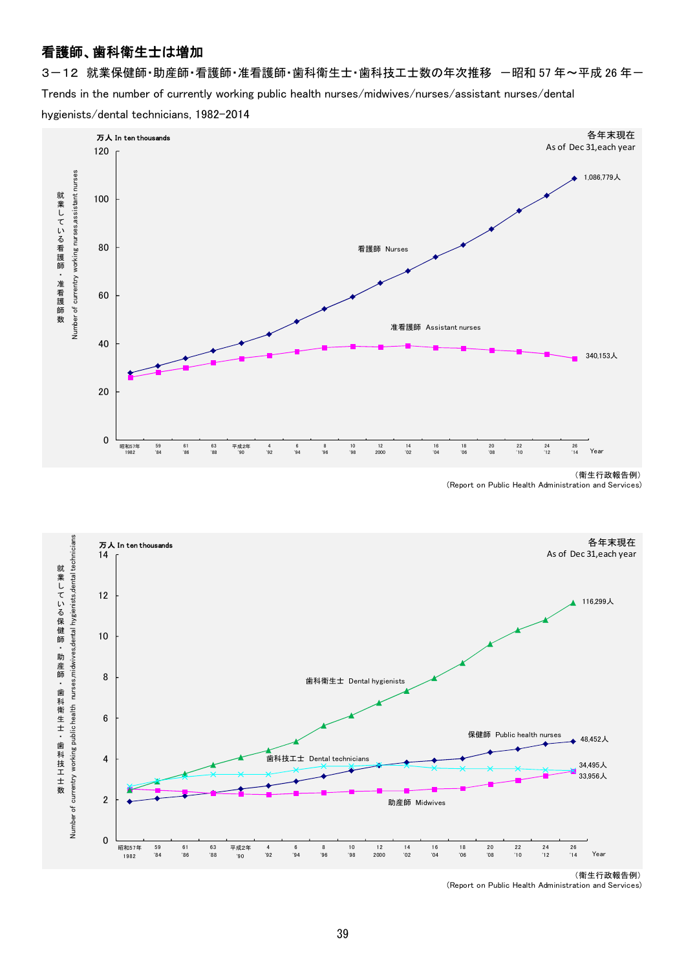#### 看護師、歯科衛生士は増加

3-12 就業保健師・助産師・看護師・准看護師・歯科衛生士・歯科技工士数の年次推移 一昭和 57年~平成 26年一 Trends in the number of currently working public health nurses/midwives/nurses/assistant nurses/dental hygienists/dental technicians, 1982-2014



(衛生行政報告例) (Report on Public Health Administration and Services)



(衛生行政報告例) (Report on Public Health Administration and Services)